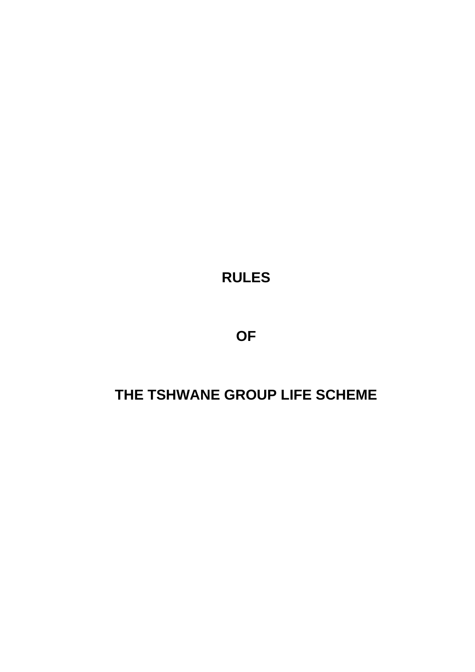**RULES**

**OF** 

# **THE TSHWANE GROUP LIFE SCHEME**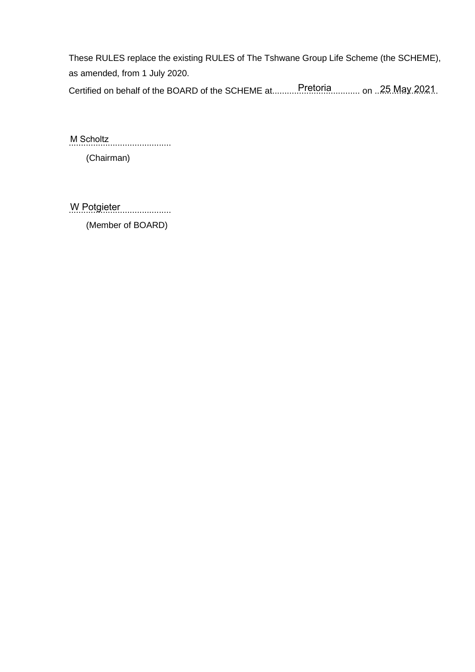These RULES replace the existing RULES of The Tshwane Group Life Scheme (the SCHEME), as amended, from 1 July 2020.

Certified on behalf of the BOARD of the SCHEME at...........Pretoria............. on ..25 May 2021.

.......................................... M Scholtz

(Chairman)

W Potgieter

(Member of BOARD)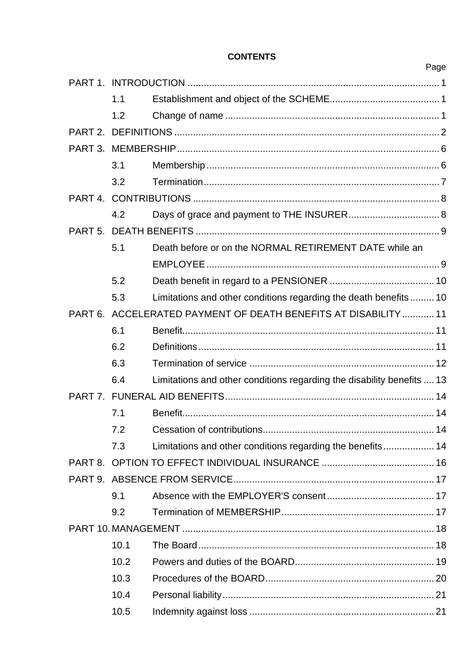# **CONTENTS**

|                     | 1.1  |                                                                        |  |  |
|---------------------|------|------------------------------------------------------------------------|--|--|
|                     | 1.2  |                                                                        |  |  |
|                     |      |                                                                        |  |  |
|                     |      |                                                                        |  |  |
|                     | 3.1  |                                                                        |  |  |
|                     | 3.2  |                                                                        |  |  |
| PART 4.             |      |                                                                        |  |  |
|                     | 4.2  |                                                                        |  |  |
|                     |      |                                                                        |  |  |
|                     | 5.1  | Death before or on the NORMAL RETIREMENT DATE while an                 |  |  |
|                     |      |                                                                        |  |  |
|                     | 5.2  |                                                                        |  |  |
|                     | 5.3  | Limitations and other conditions regarding the death benefits 10       |  |  |
| PART <sub>6</sub> . |      | ACCELERATED PAYMENT OF DEATH BENEFITS AT DISABILITY  11                |  |  |
|                     | 6.1  |                                                                        |  |  |
|                     | 6.2  |                                                                        |  |  |
|                     | 6.3  |                                                                        |  |  |
|                     | 6.4  | Limitations and other conditions regarding the disability benefits  13 |  |  |
|                     |      |                                                                        |  |  |
|                     | 7.1  |                                                                        |  |  |
|                     | 72   |                                                                        |  |  |
|                     | 7.3  |                                                                        |  |  |
|                     |      |                                                                        |  |  |
|                     |      |                                                                        |  |  |
|                     | 9.1  |                                                                        |  |  |
|                     | 9.2  |                                                                        |  |  |
|                     |      |                                                                        |  |  |
|                     | 10.1 |                                                                        |  |  |
|                     | 10.2 |                                                                        |  |  |
|                     | 10.3 |                                                                        |  |  |
|                     | 10.4 |                                                                        |  |  |
|                     | 10.5 |                                                                        |  |  |

# Page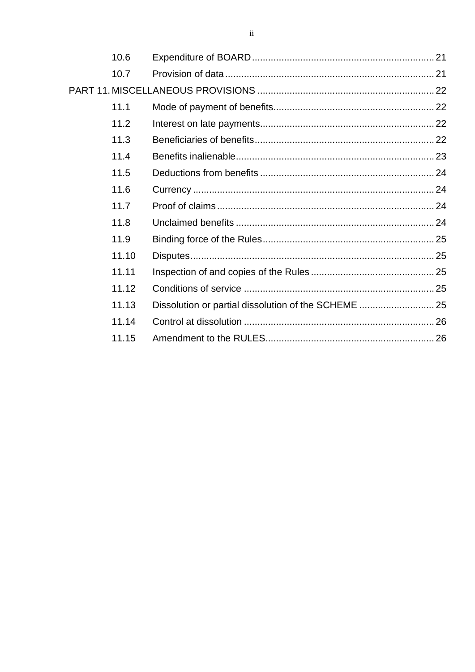| 10.6  |                                                      |  |
|-------|------------------------------------------------------|--|
| 10.7  |                                                      |  |
|       |                                                      |  |
| 11.1  |                                                      |  |
| 11.2  |                                                      |  |
| 11.3  |                                                      |  |
| 11.4  |                                                      |  |
| 11.5  |                                                      |  |
| 11.6  |                                                      |  |
| 11.7  |                                                      |  |
| 11.8  |                                                      |  |
| 11.9  |                                                      |  |
| 11.10 |                                                      |  |
| 11.11 |                                                      |  |
| 11.12 |                                                      |  |
| 11.13 | Dissolution or partial dissolution of the SCHEME  25 |  |
| 11.14 |                                                      |  |
| 11.15 |                                                      |  |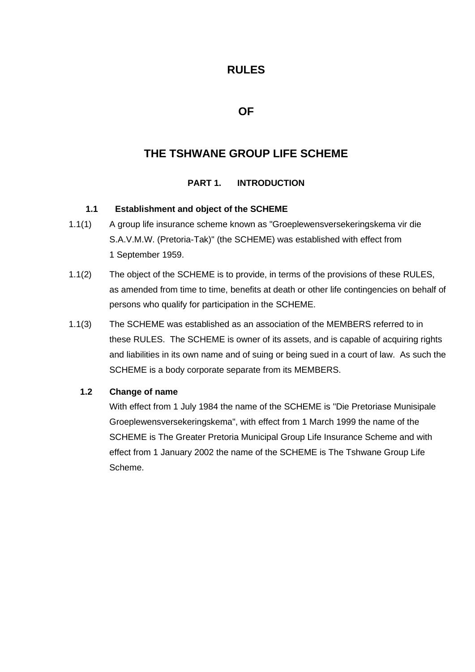# **RULES**

# **OF**

# **THE TSHWANE GROUP LIFE SCHEME**

# **PART 1. INTRODUCTION**

#### **1.1 Establishment and object of the SCHEME**

- 1.1(1) A group life insurance scheme known as "Groeplewensversekeringskema vir die S.A.V.M.W. (Pretoria-Tak)" (the SCHEME) was established with effect from 1 September 1959.
- 1.1(2) The object of the SCHEME is to provide, in terms of the provisions of these RULES, as amended from time to time, benefits at death or other life contingencies on behalf of persons who qualify for participation in the SCHEME.
- 1.1(3) The SCHEME was established as an association of the MEMBERS referred to in these RULES. The SCHEME is owner of its assets, and is capable of acquiring rights and liabilities in its own name and of suing or being sued in a court of law. As such the SCHEME is a body corporate separate from its MEMBERS.

#### **1.2 Change of name**

With effect from 1 July 1984 the name of the SCHEME is "Die Pretoriase Munisipale Groeplewensversekeringskema", with effect from 1 March 1999 the name of the SCHEME is The Greater Pretoria Municipal Group Life Insurance Scheme and with effect from 1 January 2002 the name of the SCHEME is The Tshwane Group Life Scheme.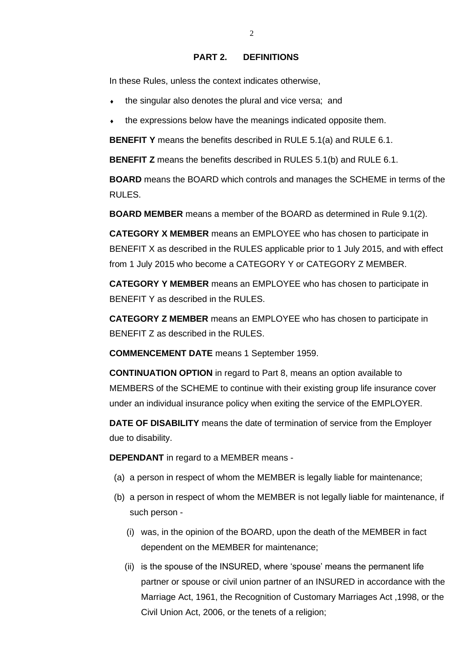#### **PART 2. DEFINITIONS**

In these Rules, unless the context indicates otherwise,

- the singular also denotes the plural and vice versa; and
- the expressions below have the meanings indicated opposite them.

**BENEFIT Y** means the benefits described in RULE 5.1(a) and RULE 6.1.

**BENEFIT Z** means the benefits described in RULES 5.1(b) and RULE 6.1.

**BOARD** means the BOARD which controls and manages the SCHEME in terms of the RULES.

**BOARD MEMBER** means a member of the BOARD as determined in Rule 9.1(2).

**CATEGORY X MEMBER** means an EMPLOYEE who has chosen to participate in BENEFIT X as described in the RULES applicable prior to 1 July 2015, and with effect from 1 July 2015 who become a CATEGORY Y or CATEGORY Z MEMBER.

**CATEGORY Y MEMBER** means an EMPLOYEE who has chosen to participate in BENEFIT Y as described in the RULES.

**CATEGORY Z MEMBER** means an EMPLOYEE who has chosen to participate in BENEFIT Z as described in the RULES.

**COMMENCEMENT DATE** means 1 September 1959.

**CONTINUATION OPTION** in regard to Part 8, means an option available to MEMBERS of the SCHEME to continue with their existing group life insurance cover under an individual insurance policy when exiting the service of the EMPLOYER.

**DATE OF DISABILITY** means the date of termination of service from the Employer due to disability.

**DEPENDANT** in regard to a MEMBER means -

- (a) a person in respect of whom the MEMBER is legally liable for maintenance;
- (b) a person in respect of whom the MEMBER is not legally liable for maintenance, if such person -
	- (i) was, in the opinion of the BOARD, upon the death of the MEMBER in fact dependent on the MEMBER for maintenance;
	- (ii) is the spouse of the INSURED, where 'spouse' means the permanent life partner or spouse or civil union partner of an INSURED in accordance with the Marriage Act, 1961, the Recognition of Customary Marriages Act ,1998, or the Civil Union Act, 2006, or the tenets of a religion;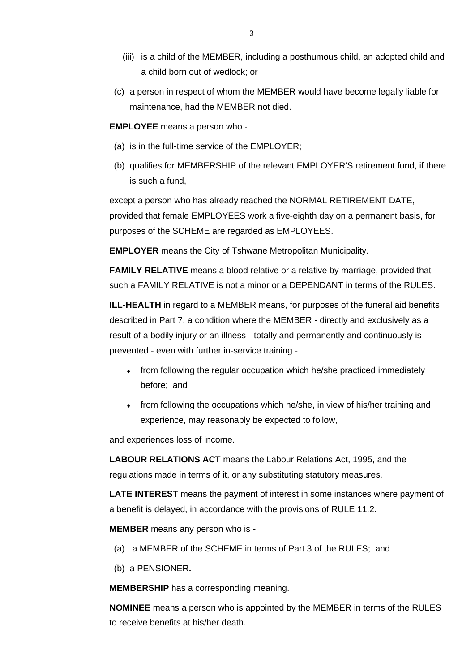- (iii) is a child of the MEMBER, including a posthumous child, an adopted child and a child born out of wedlock; or
- (c) a person in respect of whom the MEMBER would have become legally liable for maintenance, had the MEMBER not died.

**EMPLOYEE** means a person who -

- (a) is in the full-time service of the EMPLOYER;
- (b) qualifies for MEMBERSHIP of the relevant EMPLOYER'S retirement fund, if there is such a fund,

except a person who has already reached the NORMAL RETIREMENT DATE, provided that female EMPLOYEES work a five-eighth day on a permanent basis, for purposes of the SCHEME are regarded as EMPLOYEES.

**EMPLOYER** means the City of Tshwane Metropolitan Municipality.

**FAMILY RELATIVE** means a blood relative or a relative by marriage, provided that such a FAMILY RELATIVE is not a minor or a DEPENDANT in terms of the RULES.

**ILL-HEALTH** in regard to a MEMBER means, for purposes of the funeral aid benefits described in Part 7, a condition where the MEMBER - directly and exclusively as a result of a bodily injury or an illness - totally and permanently and continuously is prevented - even with further in-service training -

- from following the regular occupation which he/she practiced immediately before; and
- from following the occupations which he/she, in view of his/her training and experience, may reasonably be expected to follow,

and experiences loss of income.

**LABOUR RELATIONS ACT** means the Labour Relations Act, 1995, and the regulations made in terms of it, or any substituting statutory measures.

**LATE INTEREST** means the payment of interest in some instances where payment of a benefit is delayed, in accordance with the provisions of RULE 11.2.

**MEMBER** means any person who is -

- (a) a MEMBER of the SCHEME in terms of Part 3 of the RULES; and
- (b) a PENSIONER**.**

**MEMBERSHIP** has a corresponding meaning.

**NOMINEE** means a person who is appointed by the MEMBER in terms of the RULES to receive benefits at his/her death.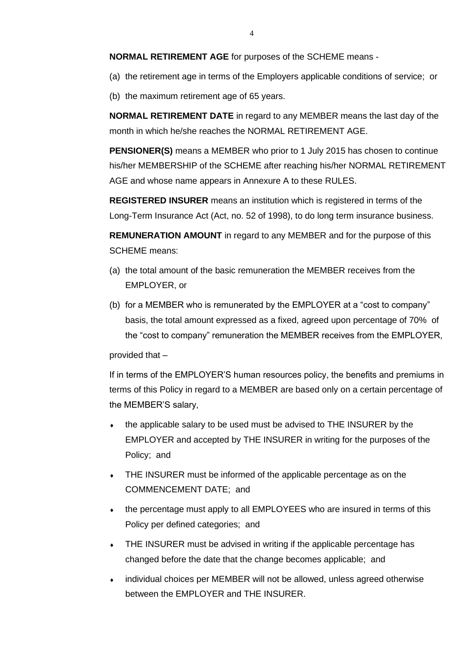**NORMAL RETIREMENT AGE** for purposes of the SCHEME means -

(a) the retirement age in terms of the Employers applicable conditions of service; or

(b) the maximum retirement age of 65 years.

**NORMAL RETIREMENT DATE** in regard to any MEMBER means the last day of the month in which he/she reaches the NORMAL RETIREMENT AGE.

**PENSIONER(S)** means a MEMBER who prior to 1 July 2015 has chosen to continue his/her MEMBERSHIP of the SCHEME after reaching his/her NORMAL RETIREMENT AGE and whose name appears in Annexure A to these RULES.

**REGISTERED INSURER** means an institution which is registered in terms of the Long-Term Insurance Act (Act, no. 52 of 1998), to do long term insurance business.

**REMUNERATION AMOUNT** in regard to any MEMBER and for the purpose of this SCHEME means:

- (a) the total amount of the basic remuneration the MEMBER receives from the EMPLOYER, or
- (b) for a MEMBER who is remunerated by the EMPLOYER at a "cost to company" basis, the total amount expressed as a fixed, agreed upon percentage of 70% of the "cost to company" remuneration the MEMBER receives from the EMPLOYER,

#### provided that –

If in terms of the EMPLOYER'S human resources policy, the benefits and premiums in terms of this Policy in regard to a MEMBER are based only on a certain percentage of the MEMBER'S salary,

- the applicable salary to be used must be advised to THE INSURER by the EMPLOYER and accepted by THE INSURER in writing for the purposes of the Policy; and
- THE INSURER must be informed of the applicable percentage as on the COMMENCEMENT DATE; and
- the percentage must apply to all EMPLOYEES who are insured in terms of this Policy per defined categories; and
- THE INSURER must be advised in writing if the applicable percentage has changed before the date that the change becomes applicable; and
- individual choices per MEMBER will not be allowed, unless agreed otherwise between the EMPLOYER and THE INSURER.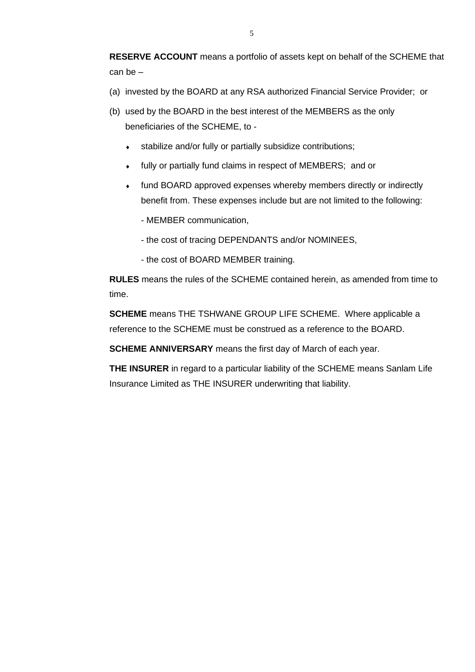**RESERVE ACCOUNT** means a portfolio of assets kept on behalf of the SCHEME that can be –

- (a) invested by the BOARD at any RSA authorized Financial Service Provider; or
- (b) used by the BOARD in the best interest of the MEMBERS as the only beneficiaries of the SCHEME, to
	- stabilize and/or fully or partially subsidize contributions;
	- fully or partially fund claims in respect of MEMBERS; and or
	- fund BOARD approved expenses whereby members directly or indirectly benefit from. These expenses include but are not limited to the following:
		- MEMBER communication,
		- the cost of tracing DEPENDANTS and/or NOMINEES,
		- the cost of BOARD MEMBER training.

**RULES** means the rules of the SCHEME contained herein, as amended from time to time.

**SCHEME** means THE TSHWANE GROUP LIFE SCHEME. Where applicable a reference to the SCHEME must be construed as a reference to the BOARD.

**SCHEME ANNIVERSARY** means the first day of March of each year.

**THE INSURER** in regard to a particular liability of the SCHEME means Sanlam Life Insurance Limited as THE INSURER underwriting that liability.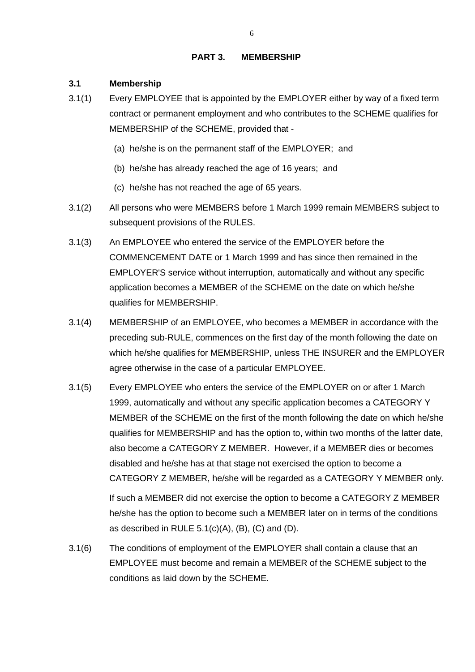#### **PART 3. MEMBERSHIP**

#### **3.1 Membership**

- 3.1(1) Every EMPLOYEE that is appointed by the EMPLOYER either by way of a fixed term contract or permanent employment and who contributes to the SCHEME qualifies for MEMBERSHIP of the SCHEME, provided that -
	- (a) he/she is on the permanent staff of the EMPLOYER; and
	- (b) he/she has already reached the age of 16 years; and
	- (c) he/she has not reached the age of 65 years.
- 3.1(2) All persons who were MEMBERS before 1 March 1999 remain MEMBERS subject to subsequent provisions of the RULES.
- 3.1(3) An EMPLOYEE who entered the service of the EMPLOYER before the COMMENCEMENT DATE or 1 March 1999 and has since then remained in the EMPLOYER'S service without interruption, automatically and without any specific application becomes a MEMBER of the SCHEME on the date on which he/she qualifies for MEMBERSHIP.
- 3.1(4) MEMBERSHIP of an EMPLOYEE, who becomes a MEMBER in accordance with the preceding sub-RULE, commences on the first day of the month following the date on which he/she qualifies for MEMBERSHIP, unless THE INSURER and the EMPLOYER agree otherwise in the case of a particular EMPLOYEE.
- 3.1(5) Every EMPLOYEE who enters the service of the EMPLOYER on or after 1 March 1999, automatically and without any specific application becomes a CATEGORY Y MEMBER of the SCHEME on the first of the month following the date on which he/she qualifies for MEMBERSHIP and has the option to, within two months of the latter date, also become a CATEGORY Z MEMBER. However, if a MEMBER dies or becomes disabled and he/she has at that stage not exercised the option to become a CATEGORY Z MEMBER, he/she will be regarded as a CATEGORY Y MEMBER only.

If such a MEMBER did not exercise the option to become a CATEGORY Z MEMBER he/she has the option to become such a MEMBER later on in terms of the conditions as described in RULE 5.1(c)(A), (B), (C) and (D).

3.1(6) The conditions of employment of the EMPLOYER shall contain a clause that an EMPLOYEE must become and remain a MEMBER of the SCHEME subject to the conditions as laid down by the SCHEME.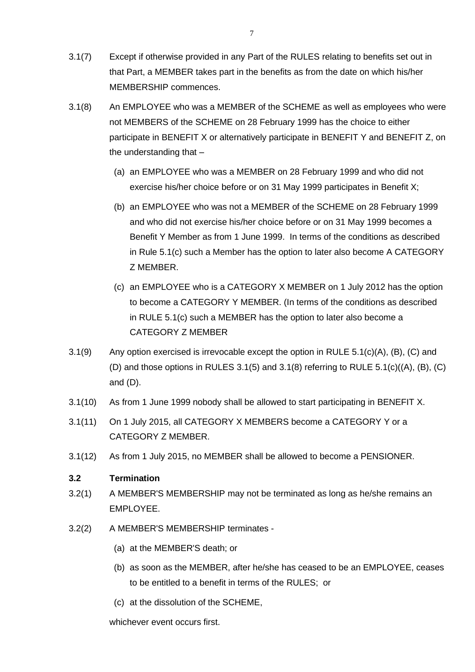- 3.1(7) Except if otherwise provided in any Part of the RULES relating to benefits set out in that Part, a MEMBER takes part in the benefits as from the date on which his/her MEMBERSHIP commences.
- 3.1(8) An EMPLOYEE who was a MEMBER of the SCHEME as well as employees who were not MEMBERS of the SCHEME on 28 February 1999 has the choice to either participate in BENEFIT X or alternatively participate in BENEFIT Y and BENEFIT Z, on the understanding that –
	- (a) an EMPLOYEE who was a MEMBER on 28 February 1999 and who did not exercise his/her choice before or on 31 May 1999 participates in Benefit X;
	- (b) an EMPLOYEE who was not a MEMBER of the SCHEME on 28 February 1999 and who did not exercise his/her choice before or on 31 May 1999 becomes a Benefit Y Member as from 1 June 1999. In terms of the conditions as described in Rule 5.1(c) such a Member has the option to later also become A CATEGORY Z MEMBER.
	- (c) an EMPLOYEE who is a CATEGORY X MEMBER on 1 July 2012 has the option to become a CATEGORY Y MEMBER. (In terms of the conditions as described in RULE 5.1(c) such a MEMBER has the option to later also become a CATEGORY Z MEMBER
- 3.1(9) Any option exercised is irrevocable except the option in RULE 5.1(c)(A), (B), (C) and (D) and those options in RULES  $3.1(5)$  and  $3.1(8)$  referring to RULE  $5.1(c)((A), (B), (C)$ and (D).
- 3.1(10) As from 1 June 1999 nobody shall be allowed to start participating in BENEFIT X.
- 3.1(11) On 1 July 2015, all CATEGORY X MEMBERS become a CATEGORY Y or a CATEGORY Z MEMBER.
- 3.1(12) As from 1 July 2015, no MEMBER shall be allowed to become a PENSIONER.

# **3.2 Termination**

- 3.2(1) A MEMBER'S MEMBERSHIP may not be terminated as long as he/she remains an EMPLOYEE.
- 3.2(2) A MEMBER'S MEMBERSHIP terminates
	- (a) at the MEMBER'S death; or
	- (b) as soon as the MEMBER, after he/she has ceased to be an EMPLOYEE, ceases to be entitled to a benefit in terms of the RULES; or
	- (c) at the dissolution of the SCHEME,

whichever event occurs first.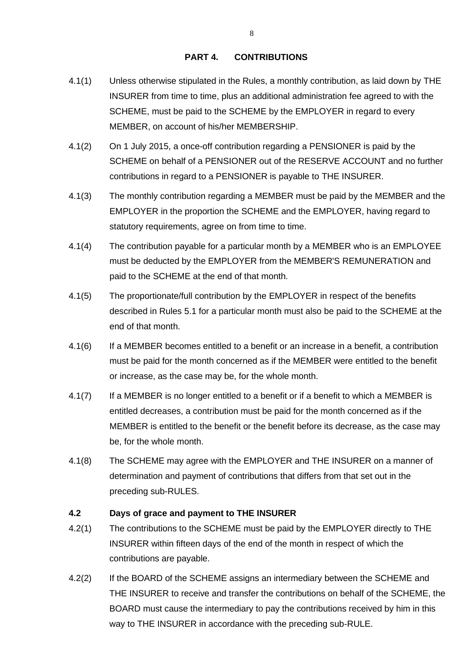#### **PART 4. CONTRIBUTIONS**

- 4.1(1) Unless otherwise stipulated in the Rules, a monthly contribution, as laid down by THE INSURER from time to time, plus an additional administration fee agreed to with the SCHEME, must be paid to the SCHEME by the EMPLOYER in regard to every MEMBER, on account of his/her MEMBERSHIP.
- 4.1(2) On 1 July 2015, a once-off contribution regarding a PENSIONER is paid by the SCHEME on behalf of a PENSIONER out of the RESERVE ACCOUNT and no further contributions in regard to a PENSIONER is payable to THE INSURER.
- 4.1(3) The monthly contribution regarding a MEMBER must be paid by the MEMBER and the EMPLOYER in the proportion the SCHEME and the EMPLOYER, having regard to statutory requirements, agree on from time to time.
- 4.1(4) The contribution payable for a particular month by a MEMBER who is an EMPLOYEE must be deducted by the EMPLOYER from the MEMBER'S REMUNERATION and paid to the SCHEME at the end of that month.
- 4.1(5) The proportionate/full contribution by the EMPLOYER in respect of the benefits described in Rules 5.1 for a particular month must also be paid to the SCHEME at the end of that month.
- 4.1(6) If a MEMBER becomes entitled to a benefit or an increase in a benefit, a contribution must be paid for the month concerned as if the MEMBER were entitled to the benefit or increase, as the case may be, for the whole month.
- 4.1(7) If a MEMBER is no longer entitled to a benefit or if a benefit to which a MEMBER is entitled decreases, a contribution must be paid for the month concerned as if the MEMBER is entitled to the benefit or the benefit before its decrease, as the case may be, for the whole month.
- 4.1(8) The SCHEME may agree with the EMPLOYER and THE INSURER on a manner of determination and payment of contributions that differs from that set out in the preceding sub-RULES.

#### **4.2 Days of grace and payment to THE INSURER**

- 4.2(1) The contributions to the SCHEME must be paid by the EMPLOYER directly to THE INSURER within fifteen days of the end of the month in respect of which the contributions are payable.
- 4.2(2) If the BOARD of the SCHEME assigns an intermediary between the SCHEME and THE INSURER to receive and transfer the contributions on behalf of the SCHEME, the BOARD must cause the intermediary to pay the contributions received by him in this way to THE INSURER in accordance with the preceding sub-RULE.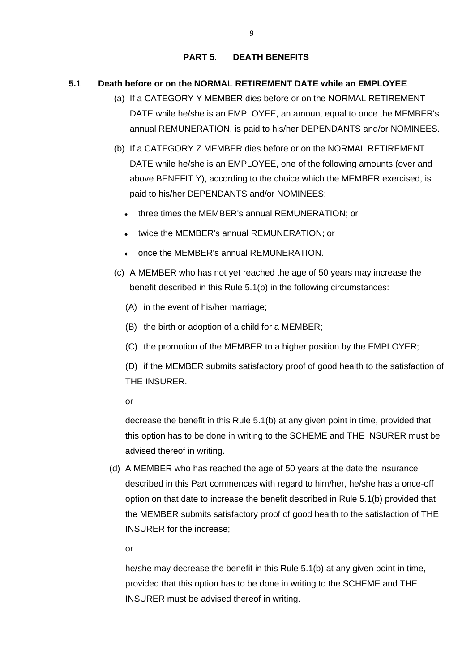#### **PART 5. DEATH BENEFITS**

#### **5.1 Death before or on the NORMAL RETIREMENT DATE while an EMPLOYEE**

- (a) If a CATEGORY Y MEMBER dies before or on the NORMAL RETIREMENT DATE while he/she is an EMPLOYEE, an amount equal to once the MEMBER's annual REMUNERATION, is paid to his/her DEPENDANTS and/or NOMINEES.
- (b) If a CATEGORY Z MEMBER dies before or on the NORMAL RETIREMENT DATE while he/she is an EMPLOYEE, one of the following amounts (over and above BENEFIT Y), according to the choice which the MEMBER exercised, is paid to his/her DEPENDANTS and/or NOMINEES:
	- three times the MEMBER's annual REMUNERATION; or
	- twice the MEMBER's annual REMUNERATION; or
	- once the MEMBER's annual REMUNERATION.
- (c) A MEMBER who has not yet reached the age of 50 years may increase the benefit described in this Rule 5.1(b) in the following circumstances:
	- (A) in the event of his/her marriage;
	- (B) the birth or adoption of a child for a MEMBER;
	- (C) the promotion of the MEMBER to a higher position by the EMPLOYER;

(D) if the MEMBER submits satisfactory proof of good health to the satisfaction of THE INSURER.

or

decrease the benefit in this Rule 5.1(b) at any given point in time, provided that this option has to be done in writing to the SCHEME and THE INSURER must be advised thereof in writing.

(d) A MEMBER who has reached the age of 50 years at the date the insurance described in this Part commences with regard to him/her, he/she has a once-off option on that date to increase the benefit described in Rule 5.1(b) provided that the MEMBER submits satisfactory proof of good health to the satisfaction of THE INSURER for the increase;

or

he/she may decrease the benefit in this Rule 5.1(b) at any given point in time, provided that this option has to be done in writing to the SCHEME and THE INSURER must be advised thereof in writing.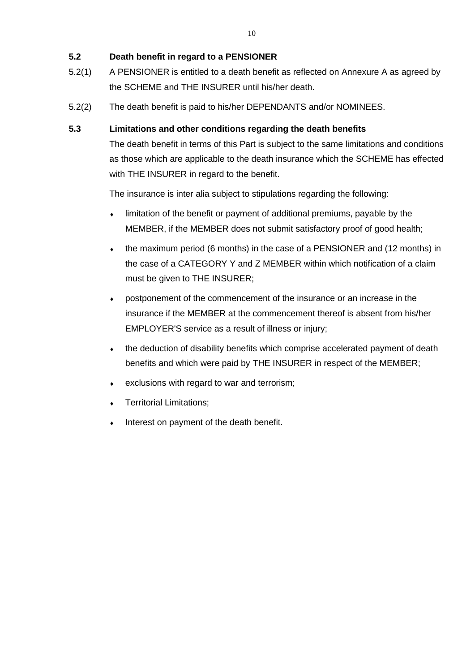## **5.2 Death benefit in regard to a PENSIONER**

- 5.2(1) A PENSIONER is entitled to a death benefit as reflected on Annexure A as agreed by the SCHEME and THE INSURER until his/her death.
- 5.2(2) The death benefit is paid to his/her DEPENDANTS and/or NOMINEES.

#### **5.3 Limitations and other conditions regarding the death benefits**

The death benefit in terms of this Part is subject to the same limitations and conditions as those which are applicable to the death insurance which the SCHEME has effected with THE INSURER in regard to the benefit.

The insurance is inter alia subject to stipulations regarding the following:

- limitation of the benefit or payment of additional premiums, payable by the MEMBER, if the MEMBER does not submit satisfactory proof of good health;
- the maximum period (6 months) in the case of a PENSIONER and (12 months) in the case of a CATEGORY Y and Z MEMBER within which notification of a claim must be given to THE INSURER;
- postponement of the commencement of the insurance or an increase in the insurance if the MEMBER at the commencement thereof is absent from his/her EMPLOYER'S service as a result of illness or injury;
- the deduction of disability benefits which comprise accelerated payment of death benefits and which were paid by THE INSURER in respect of the MEMBER;
- exclusions with regard to war and terrorism;
- **Territorial Limitations;**
- Interest on payment of the death benefit.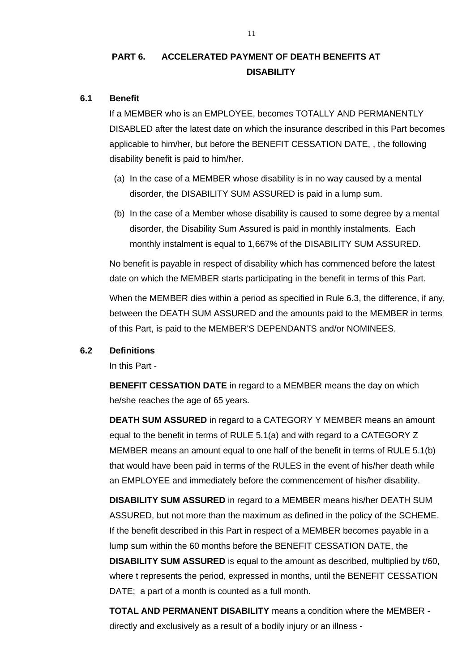# **PART 6. ACCELERATED PAYMENT OF DEATH BENEFITS AT DISABILITY**

#### **6.1 Benefit**

If a MEMBER who is an EMPLOYEE, becomes TOTALLY AND PERMANENTLY DISABLED after the latest date on which the insurance described in this Part becomes applicable to him/her, but before the BENEFIT CESSATION DATE, , the following disability benefit is paid to him/her.

- (a) In the case of a MEMBER whose disability is in no way caused by a mental disorder, the DISABILITY SUM ASSURED is paid in a lump sum.
- (b) In the case of a Member whose disability is caused to some degree by a mental disorder, the Disability Sum Assured is paid in monthly instalments. Each monthly instalment is equal to 1,667% of the DISABILITY SUM ASSURED.

No benefit is payable in respect of disability which has commenced before the latest date on which the MEMBER starts participating in the benefit in terms of this Part.

When the MEMBER dies within a period as specified in Rule 6.3, the difference, if any, between the DEATH SUM ASSURED and the amounts paid to the MEMBER in terms of this Part, is paid to the MEMBER'S DEPENDANTS and/or NOMINEES.

#### **6.2 Definitions**

In this Part -

**BENEFIT CESSATION DATE** in regard to a MEMBER means the day on which he/she reaches the age of 65 years.

**DEATH SUM ASSURED** in regard to a CATEGORY Y MEMBER means an amount equal to the benefit in terms of RULE 5.1(a) and with regard to a CATEGORY Z MEMBER means an amount equal to one half of the benefit in terms of RULE 5.1(b) that would have been paid in terms of the RULES in the event of his/her death while an EMPLOYEE and immediately before the commencement of his/her disability.

**DISABILITY SUM ASSURED** in regard to a MEMBER means his/her DEATH SUM ASSURED, but not more than the maximum as defined in the policy of the SCHEME. If the benefit described in this Part in respect of a MEMBER becomes payable in a lump sum within the 60 months before the BENEFIT CESSATION DATE, the

**DISABILITY SUM ASSURED** is equal to the amount as described, multiplied by t/60, where t represents the period, expressed in months, until the BENEFIT CESSATION DATE; a part of a month is counted as a full month.

**TOTAL AND PERMANENT DISABILITY** means a condition where the MEMBER directly and exclusively as a result of a bodily injury or an illness -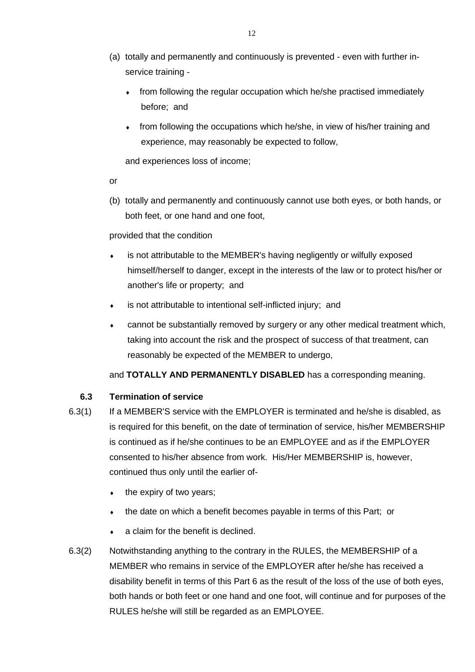- (a) totally and permanently and continuously is prevented even with further inservice training
	- from following the regular occupation which he/she practised immediately before; and
	- from following the occupations which he/she, in view of his/her training and experience, may reasonably be expected to follow,

and experiences loss of income;

or

(b) totally and permanently and continuously cannot use both eyes, or both hands, or both feet, or one hand and one foot,

# provided that the condition

- is not attributable to the MEMBER's having negligently or wilfully exposed himself/herself to danger, except in the interests of the law or to protect his/her or another's life or property; and
- is not attributable to intentional self-inflicted injury; and
- cannot be substantially removed by surgery or any other medical treatment which, taking into account the risk and the prospect of success of that treatment, can reasonably be expected of the MEMBER to undergo,

# and **TOTALLY AND PERMANENTLY DISABLED** has a corresponding meaning.

# **6.3 Termination of service**

- 6.3(1) If a MEMBER'S service with the EMPLOYER is terminated and he/she is disabled, as is required for this benefit, on the date of termination of service, his/her MEMBERSHIP is continued as if he/she continues to be an EMPLOYEE and as if the EMPLOYER consented to his/her absence from work. His/Her MEMBERSHIP is, however, continued thus only until the earlier of-
	- $\bullet$  the expiry of two years;
	- the date on which a benefit becomes payable in terms of this Part; or
	- a claim for the benefit is declined.
- 6.3(2) Notwithstanding anything to the contrary in the RULES, the MEMBERSHIP of a MEMBER who remains in service of the EMPLOYER after he/she has received a disability benefit in terms of this Part 6 as the result of the loss of the use of both eyes, both hands or both feet or one hand and one foot, will continue and for purposes of the RULES he/she will still be regarded as an EMPLOYEE.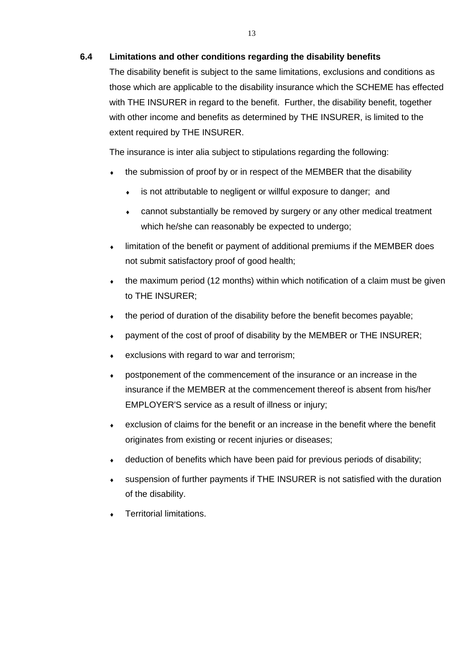#### **6.4 Limitations and other conditions regarding the disability benefits**

The disability benefit is subject to the same limitations, exclusions and conditions as those which are applicable to the disability insurance which the SCHEME has effected with THE INSURER in regard to the benefit. Further, the disability benefit, together with other income and benefits as determined by THE INSURER, is limited to the extent required by THE INSURER.

The insurance is inter alia subject to stipulations regarding the following:

- the submission of proof by or in respect of the MEMBER that the disability
	- is not attributable to negligent or willful exposure to danger; and
	- cannot substantially be removed by surgery or any other medical treatment which he/she can reasonably be expected to undergo:
- limitation of the benefit or payment of additional premiums if the MEMBER does not submit satisfactory proof of good health;
- $\bullet$  the maximum period (12 months) within which notification of a claim must be given to THE INSURER;
- the period of duration of the disability before the benefit becomes payable;
- payment of the cost of proof of disability by the MEMBER or THE INSURER;
- exclusions with regard to war and terrorism;
- postponement of the commencement of the insurance or an increase in the insurance if the MEMBER at the commencement thereof is absent from his/her EMPLOYER'S service as a result of illness or injury;
- exclusion of claims for the benefit or an increase in the benefit where the benefit originates from existing or recent injuries or diseases;
- deduction of benefits which have been paid for previous periods of disability;
- suspension of further payments if THE INSURER is not satisfied with the duration of the disability.
- Territorial limitations.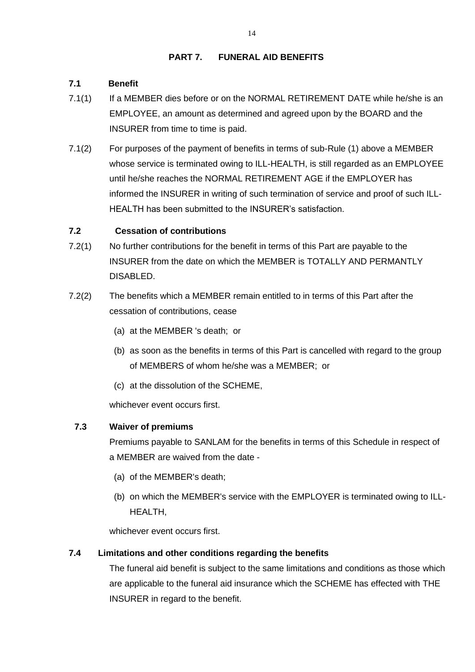## **PART 7. FUNERAL AID BENEFITS**

# **7.1 Benefit**

- 7.1(1) If a MEMBER dies before or on the NORMAL RETIREMENT DATE while he/she is an EMPLOYEE, an amount as determined and agreed upon by the BOARD and the INSURER from time to time is paid.
- 7.1(2) For purposes of the payment of benefits in terms of sub-Rule (1) above a MEMBER whose service is terminated owing to ILL-HEALTH, is still regarded as an EMPLOYEE until he/she reaches the NORMAL RETIREMENT AGE if the EMPLOYER has informed the INSURER in writing of such termination of service and proof of such ILL-HEALTH has been submitted to the INSURER's satisfaction.

# **7.2 Cessation of contributions**

- 7.2(1) No further contributions for the benefit in terms of this Part are payable to the INSURER from the date on which the MEMBER is TOTALLY AND PERMANTLY DISABLED.
- 7.2(2) The benefits which a MEMBER remain entitled to in terms of this Part after the cessation of contributions, cease
	- (a) at the MEMBER 's death; or
	- (b) as soon as the benefits in terms of this Part is cancelled with regard to the group of MEMBERS of whom he/she was a MEMBER; or
	- (c) at the dissolution of the SCHEME,

whichever event occurs first.

# **7.3 Waiver of premiums**

Premiums payable to SANLAM for the benefits in terms of this Schedule in respect of a MEMBER are waived from the date -

- (a) of the MEMBER's death;
- (b) on which the MEMBER's service with the EMPLOYER is terminated owing to ILL-HEALTH,

whichever event occurs first.

# **7.4 Limitations and other conditions regarding the benefits**

The funeral aid benefit is subject to the same limitations and conditions as those which are applicable to the funeral aid insurance which the SCHEME has effected with THE INSURER in regard to the benefit.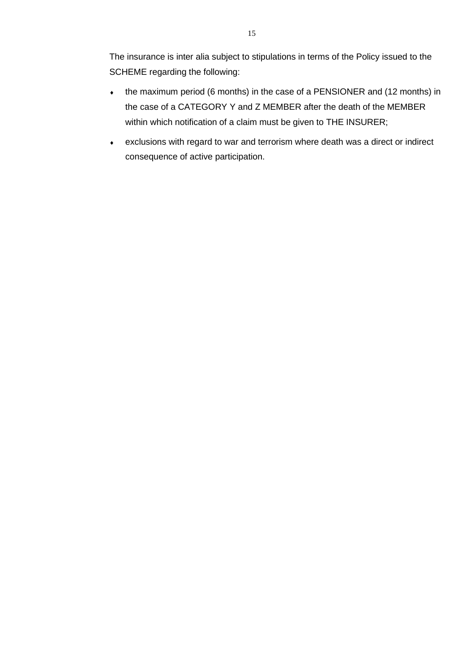The insurance is inter alia subject to stipulations in terms of the Policy issued to the SCHEME regarding the following:

- the maximum period (6 months) in the case of a PENSIONER and (12 months) in the case of a CATEGORY Y and Z MEMBER after the death of the MEMBER within which notification of a claim must be given to THE INSURER;
- exclusions with regard to war and terrorism where death was a direct or indirect consequence of active participation.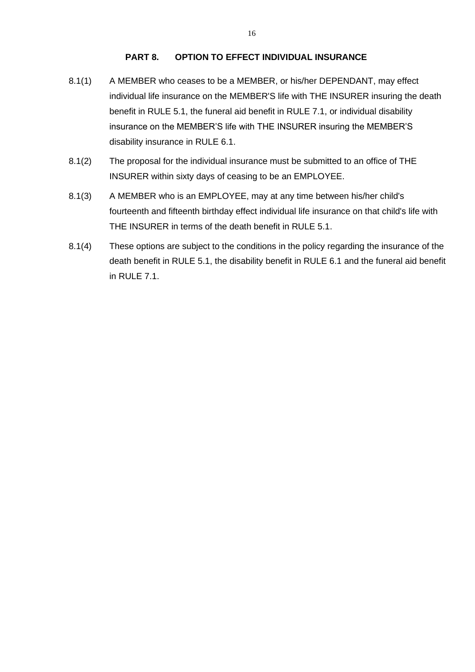#### **PART 8. OPTION TO EFFECT INDIVIDUAL INSURANCE**

- 8.1(1) A MEMBER who ceases to be a MEMBER, or his/her DEPENDANT, may effect individual life insurance on the MEMBER'S life with THE INSURER insuring the death benefit in RULE 5.1, the funeral aid benefit in RULE 7.1, or individual disability insurance on the MEMBER'S life with THE INSURER insuring the MEMBER'S disability insurance in RULE 6.1.
- 8.1(2) The proposal for the individual insurance must be submitted to an office of THE INSURER within sixty days of ceasing to be an EMPLOYEE.
- 8.1(3) A MEMBER who is an EMPLOYEE, may at any time between his/her child's fourteenth and fifteenth birthday effect individual life insurance on that child's life with THE INSURER in terms of the death benefit in RULE 5.1.
- 8.1(4) These options are subject to the conditions in the policy regarding the insurance of the death benefit in RULE 5.1, the disability benefit in RULE 6.1 and the funeral aid benefit in RULE 7.1.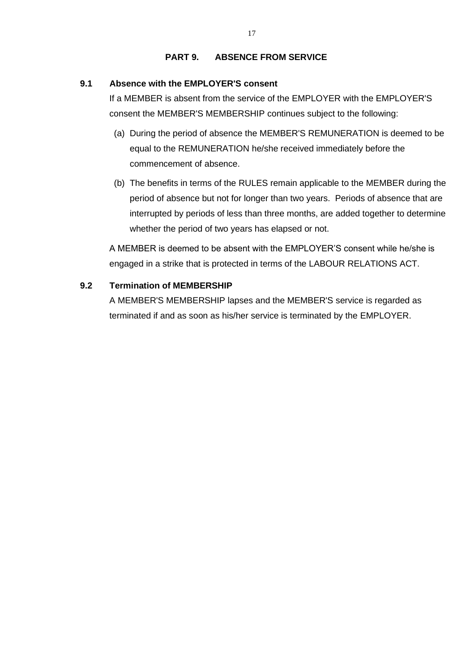#### **PART 9. ABSENCE FROM SERVICE**

# **9.1 Absence with the EMPLOYER'S consent**

If a MEMBER is absent from the service of the EMPLOYER with the EMPLOYER'S consent the MEMBER'S MEMBERSHIP continues subject to the following:

- (a) During the period of absence the MEMBER'S REMUNERATION is deemed to be equal to the REMUNERATION he/she received immediately before the commencement of absence.
- (b) The benefits in terms of the RULES remain applicable to the MEMBER during the period of absence but not for longer than two years. Periods of absence that are interrupted by periods of less than three months, are added together to determine whether the period of two years has elapsed or not.

A MEMBER is deemed to be absent with the EMPLOYER'S consent while he/she is engaged in a strike that is protected in terms of the LABOUR RELATIONS ACT.

# **9.2 Termination of MEMBERSHIP**

A MEMBER'S MEMBERSHIP lapses and the MEMBER'S service is regarded as terminated if and as soon as his/her service is terminated by the EMPLOYER.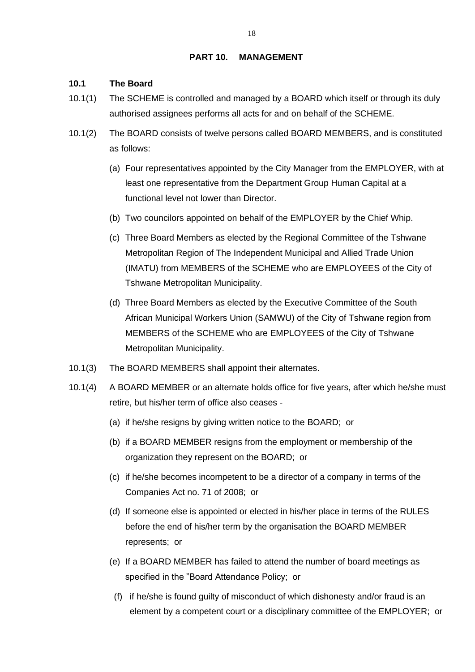#### **PART 10. MANAGEMENT**

#### **10.1 The Board**

- 10.1(1) The SCHEME is controlled and managed by a BOARD which itself or through its duly authorised assignees performs all acts for and on behalf of the SCHEME.
- 10.1(2) The BOARD consists of twelve persons called BOARD MEMBERS, and is constituted as follows:
	- (a) Four representatives appointed by the City Manager from the EMPLOYER, with at least one representative from the Department Group Human Capital at a functional level not lower than Director.
	- (b) Two councilors appointed on behalf of the EMPLOYER by the Chief Whip.
	- (c) Three Board Members as elected by the Regional Committee of the Tshwane Metropolitan Region of The Independent Municipal and Allied Trade Union (IMATU) from MEMBERS of the SCHEME who are EMPLOYEES of the City of Tshwane Metropolitan Municipality.
	- (d) Three Board Members as elected by the Executive Committee of the South African Municipal Workers Union (SAMWU) of the City of Tshwane region from MEMBERS of the SCHEME who are EMPLOYEES of the City of Tshwane Metropolitan Municipality.
- 10.1(3) The BOARD MEMBERS shall appoint their alternates.
- 10.1(4) A BOARD MEMBER or an alternate holds office for five years, after which he/she must retire, but his/her term of office also ceases -
	- (a) if he/she resigns by giving written notice to the BOARD; or
	- (b) if a BOARD MEMBER resigns from the employment or membership of the organization they represent on the BOARD; or
	- (c) if he/she becomes incompetent to be a director of a company in terms of the Companies Act no. 71 of 2008; or
	- (d) If someone else is appointed or elected in his/her place in terms of the RULES before the end of his/her term by the organisation the BOARD MEMBER represents; or
	- (e) If a BOARD MEMBER has failed to attend the number of board meetings as specified in the "Board Attendance Policy; or
		- (f) if he/she is found guilty of misconduct of which dishonesty and/or fraud is an element by a competent court or a disciplinary committee of the EMPLOYER; or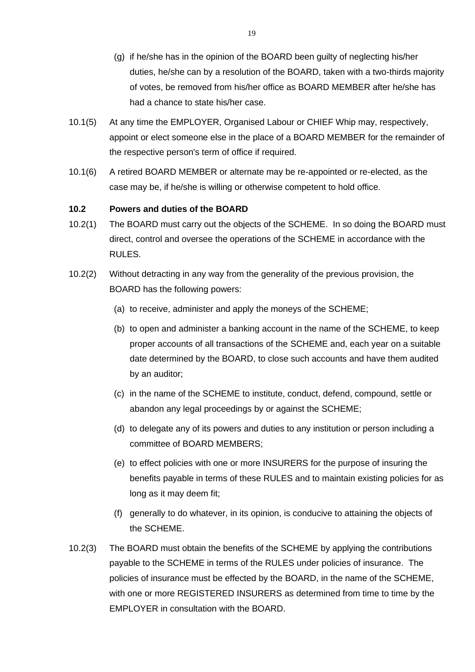- (g) if he/she has in the opinion of the BOARD been guilty of neglecting his/her duties, he/she can by a resolution of the BOARD, taken with a two-thirds majority of votes, be removed from his/her office as BOARD MEMBER after he/she has had a chance to state his/her case.
- 10.1(5) At any time the EMPLOYER, Organised Labour or CHIEF Whip may, respectively, appoint or elect someone else in the place of a BOARD MEMBER for the remainder of the respective person's term of office if required.
- 10.1(6) A retired BOARD MEMBER or alternate may be re-appointed or re-elected, as the case may be, if he/she is willing or otherwise competent to hold office.

#### **10.2 Powers and duties of the BOARD**

- 10.2(1) The BOARD must carry out the objects of the SCHEME. In so doing the BOARD must direct, control and oversee the operations of the SCHEME in accordance with the RULES.
- 10.2(2) Without detracting in any way from the generality of the previous provision, the BOARD has the following powers:
	- (a) to receive, administer and apply the moneys of the SCHEME;
	- (b) to open and administer a banking account in the name of the SCHEME, to keep proper accounts of all transactions of the SCHEME and, each year on a suitable date determined by the BOARD, to close such accounts and have them audited by an auditor;
	- (c) in the name of the SCHEME to institute, conduct, defend, compound, settle or abandon any legal proceedings by or against the SCHEME;
	- (d) to delegate any of its powers and duties to any institution or person including a committee of BOARD MEMBERS;
	- (e) to effect policies with one or more INSURERS for the purpose of insuring the benefits payable in terms of these RULES and to maintain existing policies for as long as it may deem fit;
	- (f) generally to do whatever, in its opinion, is conducive to attaining the objects of the SCHEME.
- 10.2(3) The BOARD must obtain the benefits of the SCHEME by applying the contributions payable to the SCHEME in terms of the RULES under policies of insurance. The policies of insurance must be effected by the BOARD, in the name of the SCHEME, with one or more REGISTERED INSURERS as determined from time to time by the EMPLOYER in consultation with the BOARD.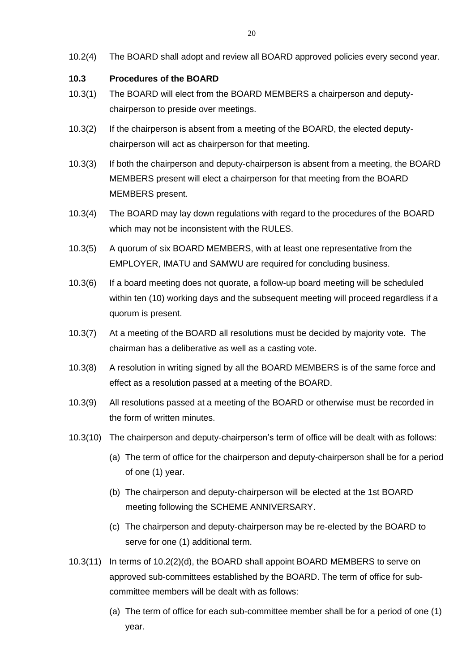10.2(4) The BOARD shall adopt and review all BOARD approved policies every second year.

#### **10.3 Procedures of the BOARD**

- 10.3(1) The BOARD will elect from the BOARD MEMBERS a chairperson and deputychairperson to preside over meetings.
- 10.3(2) If the chairperson is absent from a meeting of the BOARD, the elected deputychairperson will act as chairperson for that meeting.
- 10.3(3) If both the chairperson and deputy-chairperson is absent from a meeting, the BOARD MEMBERS present will elect a chairperson for that meeting from the BOARD MEMBERS present.
- 10.3(4) The BOARD may lay down regulations with regard to the procedures of the BOARD which may not be inconsistent with the RULES.
- 10.3(5) A quorum of six BOARD MEMBERS, with at least one representative from the EMPLOYER, IMATU and SAMWU are required for concluding business.
- 10.3(6) If a board meeting does not quorate, a follow-up board meeting will be scheduled within ten (10) working days and the subsequent meeting will proceed regardless if a quorum is present.
- 10.3(7) At a meeting of the BOARD all resolutions must be decided by majority vote. The chairman has a deliberative as well as a casting vote.
- 10.3(8) A resolution in writing signed by all the BOARD MEMBERS is of the same force and effect as a resolution passed at a meeting of the BOARD.
- 10.3(9) All resolutions passed at a meeting of the BOARD or otherwise must be recorded in the form of written minutes.
- 10.3(10) The chairperson and deputy-chairperson's term of office will be dealt with as follows:
	- (a) The term of office for the chairperson and deputy-chairperson shall be for a period of one (1) year.
	- (b) The chairperson and deputy-chairperson will be elected at the 1st BOARD meeting following the SCHEME ANNIVERSARY.
	- (c) The chairperson and deputy-chairperson may be re-elected by the BOARD to serve for one (1) additional term.
- 10.3(11) In terms of 10.2(2)(d), the BOARD shall appoint BOARD MEMBERS to serve on approved sub-committees established by the BOARD. The term of office for subcommittee members will be dealt with as follows:
	- (a) The term of office for each sub-committee member shall be for a period of one (1) year.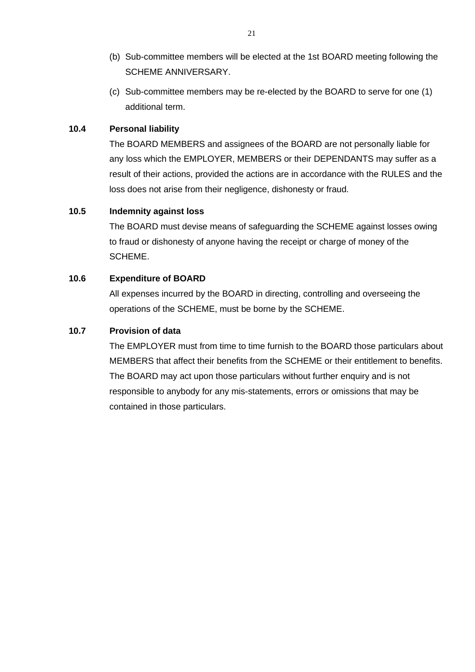- (b) Sub-committee members will be elected at the 1st BOARD meeting following the SCHEME ANNIVERSARY.
- (c) Sub-committee members may be re-elected by the BOARD to serve for one (1) additional term.

## **10.4 Personal liability**

The BOARD MEMBERS and assignees of the BOARD are not personally liable for any loss which the EMPLOYER, MEMBERS or their DEPENDANTS may suffer as a result of their actions, provided the actions are in accordance with the RULES and the loss does not arise from their negligence, dishonesty or fraud.

#### **10.5 Indemnity against loss**

The BOARD must devise means of safeguarding the SCHEME against losses owing to fraud or dishonesty of anyone having the receipt or charge of money of the SCHEME.

#### **10.6 Expenditure of BOARD**

All expenses incurred by the BOARD in directing, controlling and overseeing the operations of the SCHEME, must be borne by the SCHEME.

# **10.7 Provision of data**

The EMPLOYER must from time to time furnish to the BOARD those particulars about MEMBERS that affect their benefits from the SCHEME or their entitlement to benefits. The BOARD may act upon those particulars without further enquiry and is not responsible to anybody for any mis-statements, errors or omissions that may be contained in those particulars.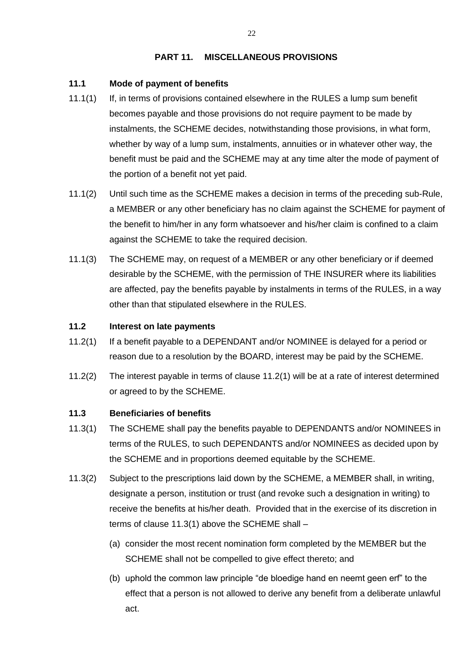#### **PART 11. MISCELLANEOUS PROVISIONS**

#### **11.1 Mode of payment of benefits**

- 11.1(1) If, in terms of provisions contained elsewhere in the RULES a lump sum benefit becomes payable and those provisions do not require payment to be made by instalments, the SCHEME decides, notwithstanding those provisions, in what form, whether by way of a lump sum, instalments, annuities or in whatever other way, the benefit must be paid and the SCHEME may at any time alter the mode of payment of the portion of a benefit not yet paid.
- 11.1(2) Until such time as the SCHEME makes a decision in terms of the preceding sub-Rule, a MEMBER or any other beneficiary has no claim against the SCHEME for payment of the benefit to him/her in any form whatsoever and his/her claim is confined to a claim against the SCHEME to take the required decision.
- 11.1(3) The SCHEME may, on request of a MEMBER or any other beneficiary or if deemed desirable by the SCHEME, with the permission of THE INSURER where its liabilities are affected, pay the benefits payable by instalments in terms of the RULES, in a way other than that stipulated elsewhere in the RULES.

#### **11.2 Interest on late payments**

- 11.2(1) If a benefit payable to a DEPENDANT and/or NOMINEE is delayed for a period or reason due to a resolution by the BOARD, interest may be paid by the SCHEME.
- 11.2(2) The interest payable in terms of clause 11.2(1) will be at a rate of interest determined or agreed to by the SCHEME.

#### **11.3 Beneficiaries of benefits**

- 11.3(1) The SCHEME shall pay the benefits payable to DEPENDANTS and/or NOMINEES in terms of the RULES, to such DEPENDANTS and/or NOMINEES as decided upon by the SCHEME and in proportions deemed equitable by the SCHEME.
- 11.3(2) Subject to the prescriptions laid down by the SCHEME, a MEMBER shall, in writing, designate a person, institution or trust (and revoke such a designation in writing) to receive the benefits at his/her death. Provided that in the exercise of its discretion in terms of clause 11.3(1) above the SCHEME shall –
	- (a) consider the most recent nomination form completed by the MEMBER but the SCHEME shall not be compelled to give effect thereto; and
	- (b) uphold the common law principle "de bloedige hand en neemt geen erf" to the effect that a person is not allowed to derive any benefit from a deliberate unlawful act.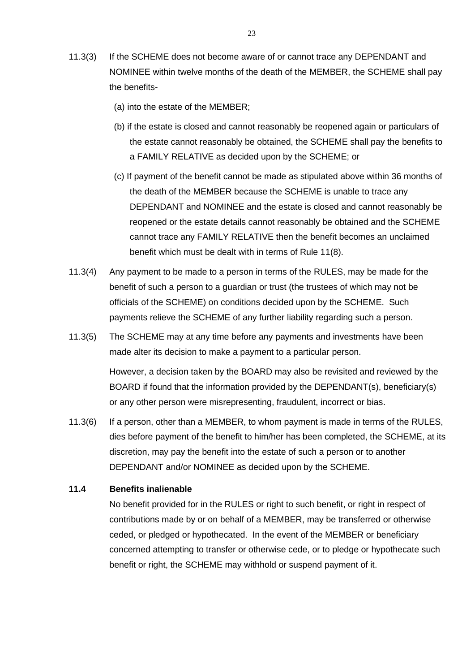- 11.3(3) If the SCHEME does not become aware of or cannot trace any DEPENDANT and NOMINEE within twelve months of the death of the MEMBER, the SCHEME shall pay the benefits-
	- (a) into the estate of the MEMBER;
	- (b) if the estate is closed and cannot reasonably be reopened again or particulars of the estate cannot reasonably be obtained, the SCHEME shall pay the benefits to a FAMILY RELATIVE as decided upon by the SCHEME; or
	- (c) If payment of the benefit cannot be made as stipulated above within 36 months of the death of the MEMBER because the SCHEME is unable to trace any DEPENDANT and NOMINEE and the estate is closed and cannot reasonably be reopened or the estate details cannot reasonably be obtained and the SCHEME cannot trace any FAMILY RELATIVE then the benefit becomes an unclaimed benefit which must be dealt with in terms of Rule 11(8).
- 11.3(4) Any payment to be made to a person in terms of the RULES, may be made for the benefit of such a person to a guardian or trust (the trustees of which may not be officials of the SCHEME) on conditions decided upon by the SCHEME. Such payments relieve the SCHEME of any further liability regarding such a person.
- 11.3(5) The SCHEME may at any time before any payments and investments have been made alter its decision to make a payment to a particular person.

However, a decision taken by the BOARD may also be revisited and reviewed by the BOARD if found that the information provided by the DEPENDANT(s), beneficiary(s) or any other person were misrepresenting, fraudulent, incorrect or bias.

11.3(6) If a person, other than a MEMBER, to whom payment is made in terms of the RULES, dies before payment of the benefit to him/her has been completed, the SCHEME, at its discretion, may pay the benefit into the estate of such a person or to another DEPENDANT and/or NOMINEE as decided upon by the SCHEME.

#### **11.4 Benefits inalienable**

No benefit provided for in the RULES or right to such benefit, or right in respect of contributions made by or on behalf of a MEMBER, may be transferred or otherwise ceded, or pledged or hypothecated. In the event of the MEMBER or beneficiary concerned attempting to transfer or otherwise cede, or to pledge or hypothecate such benefit or right, the SCHEME may withhold or suspend payment of it.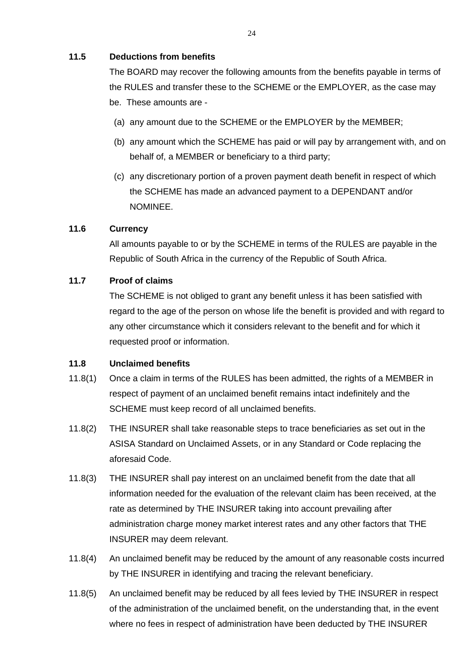## **11.5 Deductions from benefits**

The BOARD may recover the following amounts from the benefits payable in terms of the RULES and transfer these to the SCHEME or the EMPLOYER, as the case may be. These amounts are -

- (a) any amount due to the SCHEME or the EMPLOYER by the MEMBER;
- (b) any amount which the SCHEME has paid or will pay by arrangement with, and on behalf of, a MEMBER or beneficiary to a third party;
- (c) any discretionary portion of a proven payment death benefit in respect of which the SCHEME has made an advanced payment to a DEPENDANT and/or NOMINEE.

#### **11.6 Currency**

All amounts payable to or by the SCHEME in terms of the RULES are payable in the Republic of South Africa in the currency of the Republic of South Africa.

#### **11.7 Proof of claims**

The SCHEME is not obliged to grant any benefit unless it has been satisfied with regard to the age of the person on whose life the benefit is provided and with regard to any other circumstance which it considers relevant to the benefit and for which it requested proof or information.

#### **11.8 Unclaimed benefits**

- 11.8(1) Once a claim in terms of the RULES has been admitted, the rights of a MEMBER in respect of payment of an unclaimed benefit remains intact indefinitely and the SCHEME must keep record of all unclaimed benefits.
- 11.8(2) THE INSURER shall take reasonable steps to trace beneficiaries as set out in the ASISA Standard on Unclaimed Assets, or in any Standard or Code replacing the aforesaid Code.
- 11.8(3) THE INSURER shall pay interest on an unclaimed benefit from the date that all information needed for the evaluation of the relevant claim has been received, at the rate as determined by THE INSURER taking into account prevailing after administration charge money market interest rates and any other factors that THE INSURER may deem relevant.
- 11.8(4) An unclaimed benefit may be reduced by the amount of any reasonable costs incurred by THE INSURER in identifying and tracing the relevant beneficiary.
- 11.8(5) An unclaimed benefit may be reduced by all fees levied by THE INSURER in respect of the administration of the unclaimed benefit, on the understanding that, in the event where no fees in respect of administration have been deducted by THE INSURER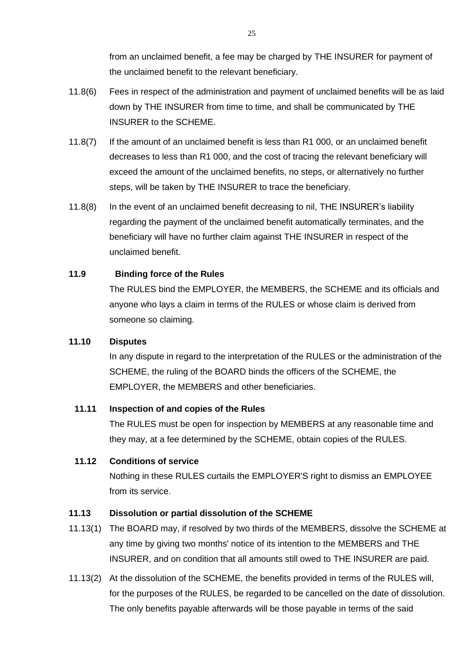from an unclaimed benefit, a fee may be charged by THE INSURER for payment of the unclaimed benefit to the relevant beneficiary.

- 11.8(6) Fees in respect of the administration and payment of unclaimed benefits will be as laid down by THE INSURER from time to time, and shall be communicated by THE INSURER to the SCHEME.
- 11.8(7) If the amount of an unclaimed benefit is less than R1 000, or an unclaimed benefit decreases to less than R1 000, and the cost of tracing the relevant beneficiary will exceed the amount of the unclaimed benefits, no steps, or alternatively no further steps, will be taken by THE INSURER to trace the beneficiary.
- 11.8(8) In the event of an unclaimed benefit decreasing to nil, THE INSURER's liability regarding the payment of the unclaimed benefit automatically terminates, and the beneficiary will have no further claim against THE INSURER in respect of the unclaimed benefit.

#### **11.9 Binding force of the Rules**

The RULES bind the EMPLOYER, the MEMBERS, the SCHEME and its officials and anyone who lays a claim in terms of the RULES or whose claim is derived from someone so claiming.

#### **11.10 Disputes**

In any dispute in regard to the interpretation of the RULES or the administration of the SCHEME, the ruling of the BOARD binds the officers of the SCHEME, the EMPLOYER, the MEMBERS and other beneficiaries.

#### **11.11 Inspection of and copies of the Rules**

The RULES must be open for inspection by MEMBERS at any reasonable time and they may, at a fee determined by the SCHEME, obtain copies of the RULES.

#### **11.12 Conditions of service**

Nothing in these RULES curtails the EMPLOYER'S right to dismiss an EMPLOYEE from its service.

#### **11.13 Dissolution or partial dissolution of the SCHEME**

- 11.13(1) The BOARD may, if resolved by two thirds of the MEMBERS, dissolve the SCHEME at any time by giving two months' notice of its intention to the MEMBERS and THE INSURER, and on condition that all amounts still owed to THE INSURER are paid.
- 11.13(2) At the dissolution of the SCHEME, the benefits provided in terms of the RULES will, for the purposes of the RULES, be regarded to be cancelled on the date of dissolution. The only benefits payable afterwards will be those payable in terms of the said